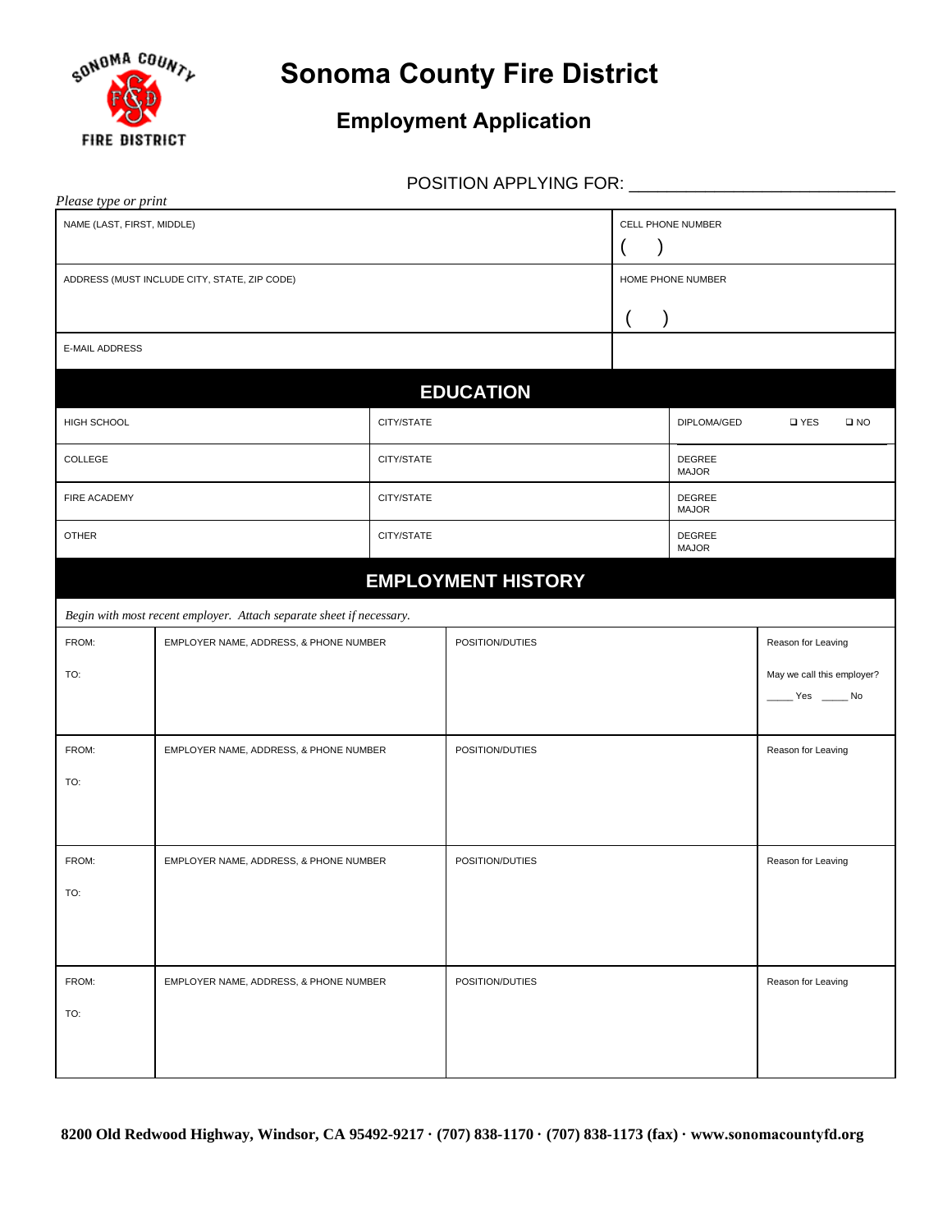

## **Sonoma County Fire District**

## **Employment Application**

POSITION APPLYING FOR: \_\_\_\_\_\_\_\_\_\_\_\_\_\_\_\_\_\_\_\_\_\_\_\_\_\_\_\_

| Please type or print                                                 |                                        |            |                                         |                   |                                      |                            |  |  |  |
|----------------------------------------------------------------------|----------------------------------------|------------|-----------------------------------------|-------------------|--------------------------------------|----------------------------|--|--|--|
| NAME (LAST, FIRST, MIDDLE)                                           |                                        |            | CELL PHONE NUMBER<br>$\mathcal{Y}$<br>( |                   |                                      |                            |  |  |  |
| ADDRESS (MUST INCLUDE CITY, STATE, ZIP CODE)                         |                                        |            |                                         | HOME PHONE NUMBER |                                      |                            |  |  |  |
|                                                                      |                                        |            |                                         |                   |                                      |                            |  |  |  |
| <b>E-MAIL ADDRESS</b>                                                |                                        |            |                                         |                   |                                      |                            |  |  |  |
|                                                                      |                                        |            | <b>EDUCATION</b>                        |                   |                                      |                            |  |  |  |
| HIGH SCHOOL                                                          |                                        | CITY/STATE |                                         |                   | DIPLOMA/GED<br>□ YES<br>$\square$ NO |                            |  |  |  |
| COLLEGE                                                              |                                        | CITY/STATE |                                         |                   | DEGREE<br><b>MAJOR</b>               |                            |  |  |  |
| FIRE ACADEMY                                                         |                                        | CITY/STATE |                                         |                   | DEGREE<br><b>MAJOR</b>               |                            |  |  |  |
| <b>OTHER</b>                                                         |                                        | CITY/STATE |                                         |                   | DEGREE<br><b>MAJOR</b>               |                            |  |  |  |
| <b>EMPLOYMENT HISTORY</b>                                            |                                        |            |                                         |                   |                                      |                            |  |  |  |
| Begin with most recent employer. Attach separate sheet if necessary. |                                        |            |                                         |                   |                                      |                            |  |  |  |
| FROM:                                                                | EMPLOYER NAME, ADDRESS, & PHONE NUMBER |            | POSITION/DUTIES                         |                   | Reason for Leaving                   |                            |  |  |  |
| TO:                                                                  |                                        |            |                                         |                   |                                      | May we call this employer? |  |  |  |
|                                                                      |                                        |            |                                         |                   |                                      | $Yes$ Mo                   |  |  |  |
| FROM:                                                                | EMPLOYER NAME, ADDRESS, & PHONE NUMBER |            | POSITION/DUTIES                         |                   |                                      | Reason for Leaving         |  |  |  |
| TO:                                                                  |                                        |            |                                         |                   |                                      |                            |  |  |  |
|                                                                      |                                        |            |                                         |                   |                                      |                            |  |  |  |
| FROM:                                                                | EMPLOYER NAME, ADDRESS, & PHONE NUMBER |            | POSITION/DUTIES                         |                   | Reason for Leaving                   |                            |  |  |  |
| TO:                                                                  |                                        |            |                                         |                   |                                      |                            |  |  |  |
|                                                                      |                                        |            |                                         |                   |                                      |                            |  |  |  |
| FROM:                                                                | EMPLOYER NAME, ADDRESS, & PHONE NUMBER |            | POSITION/DUTIES                         |                   |                                      | Reason for Leaving         |  |  |  |
| TO:                                                                  |                                        |            |                                         |                   |                                      |                            |  |  |  |
|                                                                      |                                        |            |                                         |                   |                                      |                            |  |  |  |
|                                                                      |                                        |            |                                         |                   |                                      |                            |  |  |  |